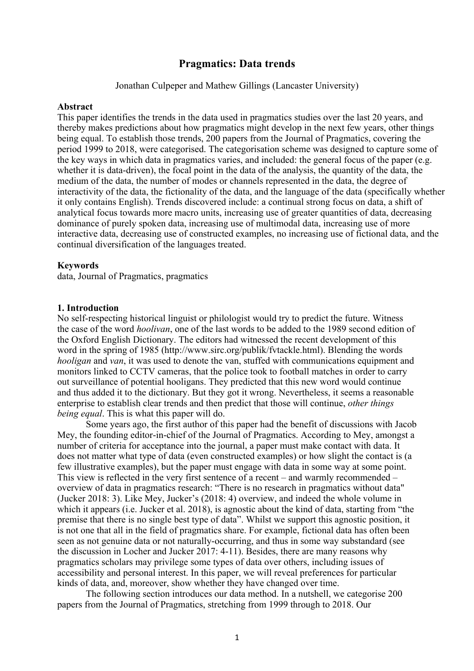## **Pragmatics: Data trends**

Jonathan Culpeper and Mathew Gillings (Lancaster University)

#### **Abstract**

This paper identifies the trends in the data used in pragmatics studies over the last 20 years, and thereby makes predictions about how pragmatics might develop in the next few years, other things being equal. To establish those trends, 200 papers from the Journal of Pragmatics, covering the period 1999 to 2018, were categorised. The categorisation scheme was designed to capture some of the key ways in which data in pragmatics varies, and included: the general focus of the paper (e.g. whether it is data-driven), the focal point in the data of the analysis, the quantity of the data, the medium of the data, the number of modes or channels represented in the data, the degree of interactivity of the data, the fictionality of the data, and the language of the data (specifically whether it only contains English). Trends discovered include: a continual strong focus on data, a shift of analytical focus towards more macro units, increasing use of greater quantities of data, decreasing dominance of purely spoken data, increasing use of multimodal data, increasing use of more interactive data, decreasing use of constructed examples, no increasing use of fictional data, and the continual diversification of the languages treated.

#### **Keywords**

data, Journal of Pragmatics, pragmatics

#### **1. Introduction**

No self-respecting historical linguist or philologist would try to predict the future. Witness the case of the word *hoolivan*, one of the last words to be added to the 1989 second edition of the Oxford English Dictionary. The editors had witnessed the recent development of this word in the spring of 1985 (http://www.sirc.org/publik/fvtackle.html). Blending the words *hooligan* and *van*, it was used to denote the van, stuffed with communications equipment and monitors linked to CCTV cameras, that the police took to football matches in order to carry out surveillance of potential hooligans. They predicted that this new word would continue and thus added it to the dictionary. But they got it wrong. Nevertheless, it seems a reasonable enterprise to establish clear trends and then predict that those will continue, *other things being equal*. This is what this paper will do.

Some years ago, the first author of this paper had the benefit of discussions with Jacob Mey, the founding editor-in-chief of the Journal of Pragmatics. According to Mey, amongst a number of criteria for acceptance into the journal, a paper must make contact with data. It does not matter what type of data (even constructed examples) or how slight the contact is (a few illustrative examples), but the paper must engage with data in some way at some point. This view is reflected in the very first sentence of a recent – and warmly recommended – overview of data in pragmatics research: "There is no research in pragmatics without data" (Jucker 2018: 3). Like Mey, Jucker's (2018: 4) overview, and indeed the whole volume in which it appears (i.e. Jucker et al. 2018), is agnostic about the kind of data, starting from "the premise that there is no single best type of data". Whilst we support this agnostic position, it is not one that all in the field of pragmatics share. For example, fictional data has often been seen as not genuine data or not naturally-occurring, and thus in some way substandard (see the discussion in Locher and Jucker 2017: 4-11). Besides, there are many reasons why pragmatics scholars may privilege some types of data over others, including issues of accessibility and personal interest. In this paper, we will reveal preferences for particular kinds of data, and, moreover, show whether they have changed over time.

The following section introduces our data method. In a nutshell, we categorise 200 papers from the Journal of Pragmatics, stretching from 1999 through to 2018. Our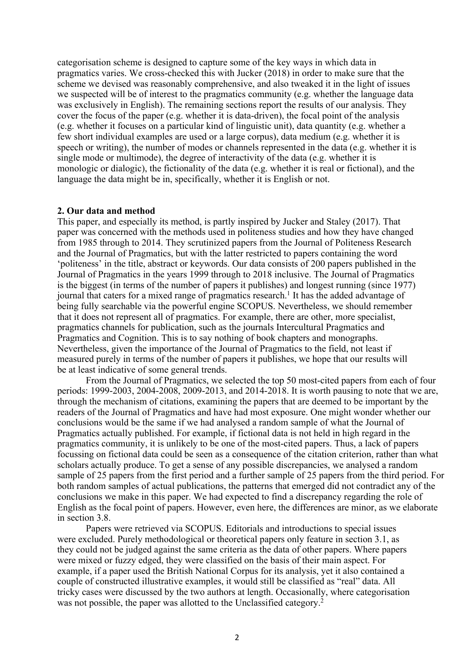categorisation scheme is designed to capture some of the key ways in which data in pragmatics varies. We cross-checked this with Jucker (2018) in order to make sure that the scheme we devised was reasonably comprehensive, and also tweaked it in the light of issues we suspected will be of interest to the pragmatics community (e.g. whether the language data was exclusively in English). The remaining sections report the results of our analysis. They cover the focus of the paper (e.g. whether it is data-driven), the focal point of the analysis (e.g. whether it focuses on a particular kind of linguistic unit), data quantity (e.g. whether a few short individual examples are used or a large corpus), data medium (e.g. whether it is speech or writing), the number of modes or channels represented in the data (e.g. whether it is single mode or multimode), the degree of interactivity of the data (e.g. whether it is monologic or dialogic), the fictionality of the data (e.g. whether it is real or fictional), and the language the data might be in, specifically, whether it is English or not.

### **2. Our data and method**

This paper, and especially its method, is partly inspired by Jucker and Staley (2017). That paper was concerned with the methods used in politeness studies and how they have changed from 1985 through to 2014. They scrutinized papers from the Journal of Politeness Research and the Journal of Pragmatics, but with the latter restricted to papers containing the word 'politeness' in the title, abstract or keywords. Our data consists of 200 papers published in the Journal of Pragmatics in the years 1999 through to 2018 inclusive. The Journal of Pragmatics is the biggest (in terms of the number of papers it publishes) and longest running (since 1977) journal that caters for a mixed range of pragmatics research. <sup>1</sup> It has the added advantage of being fully searchable via the powerful engine SCOPUS. Nevertheless, we should remember that it does not represent all of pragmatics. For example, there are other, more specialist, pragmatics channels for publication, such as the journals Intercultural Pragmatics and Pragmatics and Cognition. This is to say nothing of book chapters and monographs. Nevertheless, given the importance of the Journal of Pragmatics to the field, not least if measured purely in terms of the number of papers it publishes, we hope that our results will be at least indicative of some general trends.

From the Journal of Pragmatics, we selected the top 50 most-cited papers from each of four periods: 1999-2003, 2004-2008, 2009-2013, and 2014-2018. It is worth pausing to note that we are, through the mechanism of citations, examining the papers that are deemed to be important by the readers of the Journal of Pragmatics and have had most exposure. One might wonder whether our conclusions would be the same if we had analysed a random sample of what the Journal of Pragmatics actually published. For example, if fictional data is not held in high regard in the pragmatics community, it is unlikely to be one of the most-cited papers. Thus, a lack of papers focussing on fictional data could be seen as a consequence of the citation criterion, rather than what scholars actually produce. To get a sense of any possible discrepancies, we analysed a random sample of 25 papers from the first period and a further sample of 25 papers from the third period. For both random samples of actual publications, the patterns that emerged did not contradict any of the conclusions we make in this paper. We had expected to find a discrepancy regarding the role of English as the focal point of papers. However, even here, the differences are minor, as we elaborate in section 3.8.

Papers were retrieved via SCOPUS. Editorials and introductions to special issues were excluded. Purely methodological or theoretical papers only feature in section 3.1, as they could not be judged against the same criteria as the data of other papers. Where papers were mixed or fuzzy edged, they were classified on the basis of their main aspect. For example, if a paper used the British National Corpus for its analysis, yet it also contained a couple of constructed illustrative examples, it would still be classified as "real" data. All tricky cases were discussed by the two authors at length. Occasionally, where categorisation was not possible, the paper was allotted to the Unclassified category.<sup>2</sup>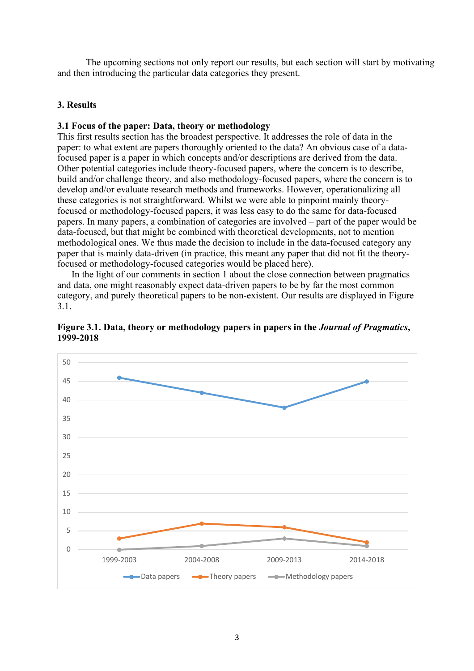The upcoming sections not only report our results, but each section will start by motivating and then introducing the particular data categories they present.

### **3. Results**

### **3.1 Focus of the paper: Data, theory or methodology**

This first results section has the broadest perspective. It addresses the role of data in the paper: to what extent are papers thoroughly oriented to the data? An obvious case of a datafocused paper is a paper in which concepts and/or descriptions are derived from the data. Other potential categories include theory-focused papers, where the concern is to describe, build and/or challenge theory, and also methodology-focused papers, where the concern is to develop and/or evaluate research methods and frameworks. However, operationalizing all these categories is not straightforward. Whilst we were able to pinpoint mainly theoryfocused or methodology-focused papers, it was less easy to do the same for data-focused papers. In many papers, a combination of categories are involved – part of the paper would be data-focused, but that might be combined with theoretical developments, not to mention methodological ones. We thus made the decision to include in the data-focused category any paper that is mainly data-driven (in practice, this meant any paper that did not fit the theoryfocused or methodology-focused categories would be placed here).

In the light of our comments in section 1 about the close connection between pragmatics and data, one might reasonably expect data-driven papers to be by far the most common category, and purely theoretical papers to be non-existent. Our results are displayed in Figure 3.1.



**Figure 3.1. Data, theory or methodology papers in papers in the** *Journal of Pragmatics***, 1999-2018**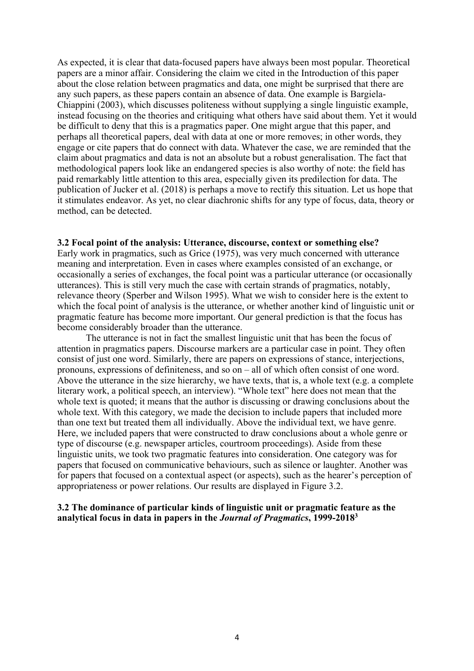As expected, it is clear that data-focused papers have always been most popular. Theoretical papers are a minor affair. Considering the claim we cited in the Introduction of this paper about the close relation between pragmatics and data, one might be surprised that there are any such papers, as these papers contain an absence of data. One example is Bargiela-Chiappini (2003), which discusses politeness without supplying a single linguistic example, instead focusing on the theories and critiquing what others have said about them. Yet it would be difficult to deny that this is a pragmatics paper. One might argue that this paper, and perhaps all theoretical papers, deal with data at one or more removes; in other words, they engage or cite papers that do connect with data. Whatever the case, we are reminded that the claim about pragmatics and data is not an absolute but a robust generalisation. The fact that methodological papers look like an endangered species is also worthy of note: the field has paid remarkably little attention to this area, especially given its predilection for data. The publication of Jucker et al. (2018) is perhaps a move to rectify this situation. Let us hope that it stimulates endeavor. As yet, no clear diachronic shifts for any type of focus, data, theory or method, can be detected.

### **3.2 Focal point of the analysis: Utterance, discourse, context or something else?**

Early work in pragmatics, such as Grice (1975), was very much concerned with utterance meaning and interpretation. Even in cases where examples consisted of an exchange, or occasionally a series of exchanges, the focal point was a particular utterance (or occasionally utterances). This is still very much the case with certain strands of pragmatics, notably, relevance theory (Sperber and Wilson 1995). What we wish to consider here is the extent to which the focal point of analysis is the utterance, or whether another kind of linguistic unit or pragmatic feature has become more important. Our general prediction is that the focus has become considerably broader than the utterance.

The utterance is not in fact the smallest linguistic unit that has been the focus of attention in pragmatics papers. Discourse markers are a particular case in point. They often consist of just one word. Similarly, there are papers on expressions of stance, interjections, pronouns, expressions of definiteness, and so on – all of which often consist of one word. Above the utterance in the size hierarchy, we have texts, that is, a whole text (e.g. a complete literary work, a political speech, an interview). "Whole text" here does not mean that the whole text is quoted; it means that the author is discussing or drawing conclusions about the whole text. With this category, we made the decision to include papers that included more than one text but treated them all individually. Above the individual text, we have genre. Here, we included papers that were constructed to draw conclusions about a whole genre or type of discourse (e.g. newspaper articles, courtroom proceedings). Aside from these linguistic units, we took two pragmatic features into consideration. One category was for papers that focused on communicative behaviours, such as silence or laughter. Another was for papers that focused on a contextual aspect (or aspects), such as the hearer's perception of appropriateness or power relations. Our results are displayed in Figure 3.2.

### **3.2 The dominance of particular kinds of linguistic unit or pragmatic feature as the analytical focus in data in papers in the** *Journal of Pragmatics***, 1999-20183**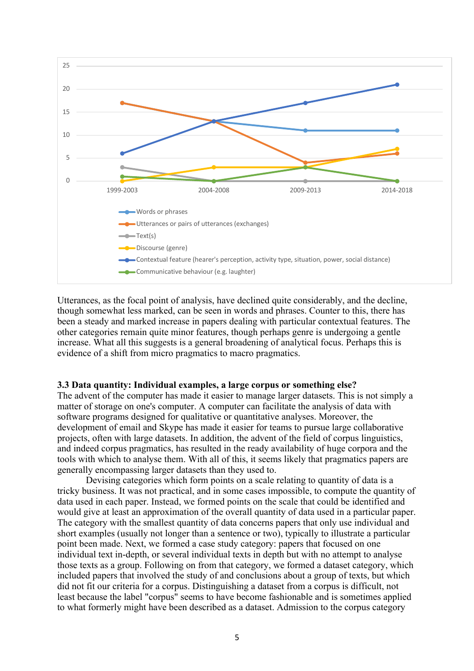

Utterances, as the focal point of analysis, have declined quite considerably, and the decline, though somewhat less marked, can be seen in words and phrases. Counter to this, there has been a steady and marked increase in papers dealing with particular contextual features. The other categories remain quite minor features, though perhaps genre is undergoing a gentle increase. What all this suggests is a general broadening of analytical focus. Perhaps this is evidence of a shift from micro pragmatics to macro pragmatics.

### **3.3 Data quantity: Individual examples, a large corpus or something else?**

The advent of the computer has made it easier to manage larger datasets. This is not simply a matter of storage on one's computer. A computer can facilitate the analysis of data with software programs designed for qualitative or quantitative analyses. Moreover, the development of email and Skype has made it easier for teams to pursue large collaborative projects, often with large datasets. In addition, the advent of the field of corpus linguistics, and indeed corpus pragmatics, has resulted in the ready availability of huge corpora and the tools with which to analyse them. With all of this, it seems likely that pragmatics papers are generally encompassing larger datasets than they used to.

Devising categories which form points on a scale relating to quantity of data is a tricky business. It was not practical, and in some cases impossible, to compute the quantity of data used in each paper. Instead, we formed points on the scale that could be identified and would give at least an approximation of the overall quantity of data used in a particular paper. The category with the smallest quantity of data concerns papers that only use individual and short examples (usually not longer than a sentence or two), typically to illustrate a particular point been made. Next, we formed a case study category: papers that focused on one individual text in-depth, or several individual texts in depth but with no attempt to analyse those texts as a group. Following on from that category, we formed a dataset category, which included papers that involved the study of and conclusions about a group of texts, but which did not fit our criteria for a corpus. Distinguishing a dataset from a corpus is difficult, not least because the label "corpus" seems to have become fashionable and is sometimes applied to what formerly might have been described as a dataset. Admission to the corpus category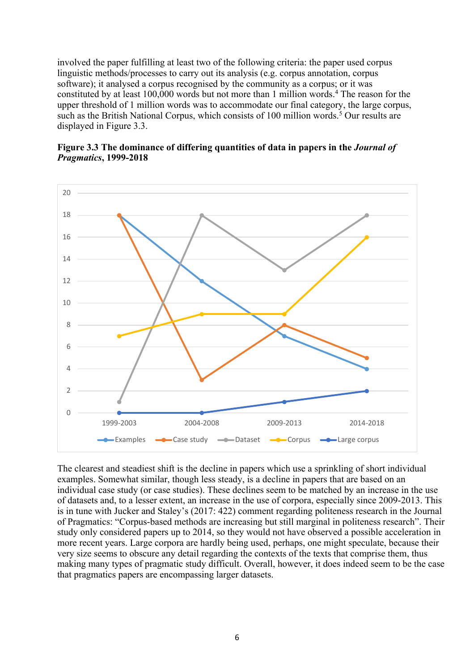involved the paper fulfilling at least two of the following criteria: the paper used corpus linguistic methods/processes to carry out its analysis (e.g. corpus annotation, corpus software); it analysed a corpus recognised by the community as a corpus; or it was constituted by at least 100,000 words but not more than 1 million words.4 The reason for the upper threshold of 1 million words was to accommodate our final category, the large corpus, such as the British National Corpus, which consists of 100 million words.<sup>5</sup> Our results are displayed in Figure 3.3.





The clearest and steadiest shift is the decline in papers which use a sprinkling of short individual examples. Somewhat similar, though less steady, is a decline in papers that are based on an individual case study (or case studies). These declines seem to be matched by an increase in the use of datasets and, to a lesser extent, an increase in the use of corpora, especially since 2009-2013. This is in tune with Jucker and Staley's (2017: 422) comment regarding politeness research in the Journal of Pragmatics: "Corpus-based methods are increasing but still marginal in politeness research". Their study only considered papers up to 2014, so they would not have observed a possible acceleration in more recent years. Large corpora are hardly being used, perhaps, one might speculate, because their very size seems to obscure any detail regarding the contexts of the texts that comprise them, thus making many types of pragmatic study difficult. Overall, however, it does indeed seem to be the case that pragmatics papers are encompassing larger datasets.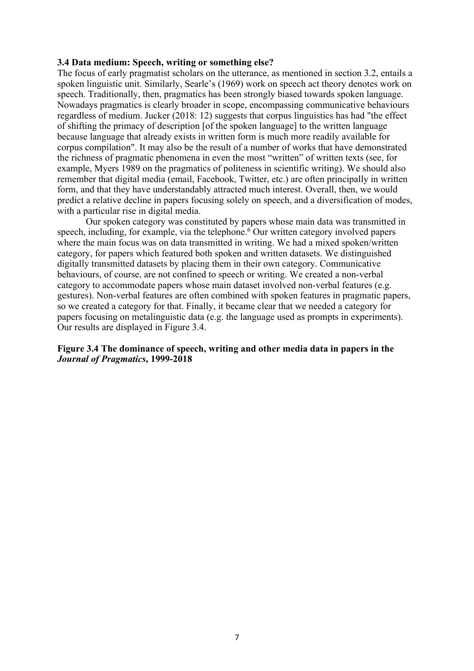#### **3.4 Data medium: Speech, writing or something else?**

The focus of early pragmatist scholars on the utterance, as mentioned in section 3.2, entails a spoken linguistic unit. Similarly, Searle's (1969) work on speech act theory denotes work on speech. Traditionally, then, pragmatics has been strongly biased towards spoken language. Nowadays pragmatics is clearly broader in scope, encompassing communicative behaviours regardless of medium. Jucker (2018: 12) suggests that corpus linguistics has had "the effect of shifting the primacy of description [of the spoken language] to the written language because language that already exists in written form is much more readily available for corpus compilation". It may also be the result of a number of works that have demonstrated the richness of pragmatic phenomena in even the most "written" of written texts (see, for example, Myers 1989 on the pragmatics of politeness in scientific writing). We should also remember that digital media (email, Facebook, Twitter, etc.) are often principally in written form, and that they have understandably attracted much interest. Overall, then, we would predict a relative decline in papers focusing solely on speech, and a diversification of modes, with a particular rise in digital media.

Our spoken category was constituted by papers whose main data was transmitted in speech, including, for example, via the telephone. $6$  Our written category involved papers where the main focus was on data transmitted in writing. We had a mixed spoken/written category, for papers which featured both spoken and written datasets. We distinguished digitally transmitted datasets by placing them in their own category. Communicative behaviours, of course, are not confined to speech or writing. We created a non-verbal category to accommodate papers whose main dataset involved non-verbal features (e.g. gestures). Non-verbal features are often combined with spoken features in pragmatic papers, so we created a category for that. Finally, it became clear that we needed a category for papers focusing on metalinguistic data (e.g. the language used as prompts in experiments). Our results are displayed in Figure 3.4.

### **Figure 3.4 The dominance of speech, writing and other media data in papers in the**  *Journal of Pragmatics***, 1999-2018**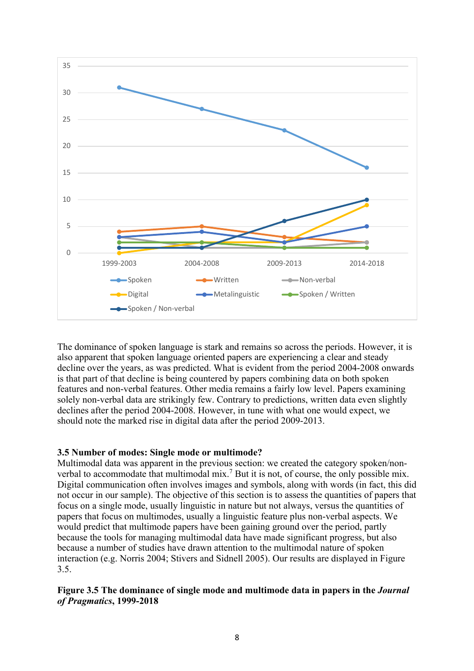

The dominance of spoken language is stark and remains so across the periods. However, it is also apparent that spoken language oriented papers are experiencing a clear and steady decline over the years, as was predicted. What is evident from the period 2004-2008 onwards is that part of that decline is being countered by papers combining data on both spoken features and non-verbal features. Other media remains a fairly low level. Papers examining solely non-verbal data are strikingly few. Contrary to predictions, written data even slightly declines after the period 2004-2008. However, in tune with what one would expect, we should note the marked rise in digital data after the period 2009-2013.

# **3.5 Number of modes: Single mode or multimode?**

Multimodal data was apparent in the previous section: we created the category spoken/nonverbal to accommodate that multimodal mix.<sup>7</sup> But it is not, of course, the only possible mix. Digital communication often involves images and symbols, along with words (in fact, this did not occur in our sample). The objective of this section is to assess the quantities of papers that focus on a single mode, usually linguistic in nature but not always, versus the quantities of papers that focus on multimodes, usually a linguistic feature plus non-verbal aspects. We would predict that multimode papers have been gaining ground over the period, partly because the tools for managing multimodal data have made significant progress, but also because a number of studies have drawn attention to the multimodal nature of spoken interaction (e.g. Norris 2004; Stivers and Sidnell 2005). Our results are displayed in Figure 3.5.

# **Figure 3.5 The dominance of single mode and multimode data in papers in the** *Journal of Pragmatics***, 1999-2018**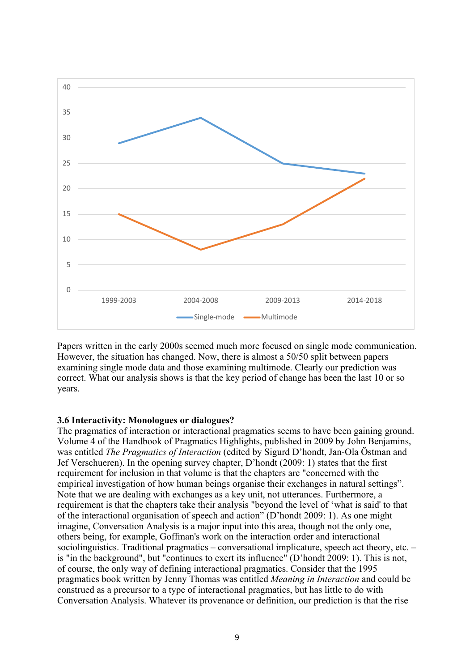

Papers written in the early 2000s seemed much more focused on single mode communication. However, the situation has changed. Now, there is almost a 50/50 split between papers examining single mode data and those examining multimode. Clearly our prediction was correct. What our analysis shows is that the key period of change has been the last 10 or so years.

## **3.6 Interactivity: Monologues or dialogues?**

The pragmatics of interaction or interactional pragmatics seems to have been gaining ground. Volume 4 of the Handbook of Pragmatics Highlights, published in 2009 by John Benjamins, was entitled *The Pragmatics of Interaction* (edited by Sigurd D'hondt, Jan-Ola Östman and Jef Verschueren). In the opening survey chapter, D'hondt (2009: 1) states that the first requirement for inclusion in that volume is that the chapters are "concerned with the empirical investigation of how human beings organise their exchanges in natural settings". Note that we are dealing with exchanges as a key unit, not utterances. Furthermore, a requirement is that the chapters take their analysis "beyond the level of 'what is said' to that of the interactional organisation of speech and action" (D'hondt 2009: 1). As one might imagine, Conversation Analysis is a major input into this area, though not the only one, others being, for example, Goffman's work on the interaction order and interactional sociolinguistics. Traditional pragmatics – conversational implicature, speech act theory, etc. – is "in the background", but "continues to exert its influence" (D'hondt 2009: 1). This is not, of course, the only way of defining interactional pragmatics. Consider that the 1995 pragmatics book written by Jenny Thomas was entitled *Meaning in Interaction* and could be construed as a precursor to a type of interactional pragmatics, but has little to do with Conversation Analysis. Whatever its provenance or definition, our prediction is that the rise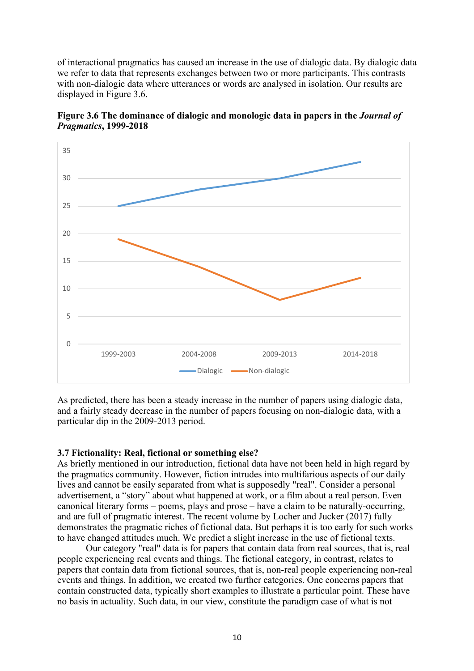of interactional pragmatics has caused an increase in the use of dialogic data. By dialogic data we refer to data that represents exchanges between two or more participants. This contrasts with non-dialogic data where utterances or words are analysed in isolation. Our results are displayed in Figure 3.6.



**Figure 3.6 The dominance of dialogic and monologic data in papers in the** *Journal of Pragmatics***, 1999-2018**

As predicted, there has been a steady increase in the number of papers using dialogic data, and a fairly steady decrease in the number of papers focusing on non-dialogic data, with a particular dip in the 2009-2013 period.

### **3.7 Fictionality: Real, fictional or something else?**

As briefly mentioned in our introduction, fictional data have not been held in high regard by the pragmatics community. However, fiction intrudes into multifarious aspects of our daily lives and cannot be easily separated from what is supposedly "real". Consider a personal advertisement, a "story" about what happened at work, or a film about a real person. Even canonical literary forms – poems, plays and prose – have a claim to be naturally-occurring, and are full of pragmatic interest. The recent volume by Locher and Jucker (2017) fully demonstrates the pragmatic riches of fictional data. But perhaps it is too early for such works to have changed attitudes much. We predict a slight increase in the use of fictional texts.

Our category "real" data is for papers that contain data from real sources, that is, real people experiencing real events and things. The fictional category, in contrast, relates to papers that contain data from fictional sources, that is, non-real people experiencing non-real events and things. In addition, we created two further categories. One concerns papers that contain constructed data, typically short examples to illustrate a particular point. These have no basis in actuality. Such data, in our view, constitute the paradigm case of what is not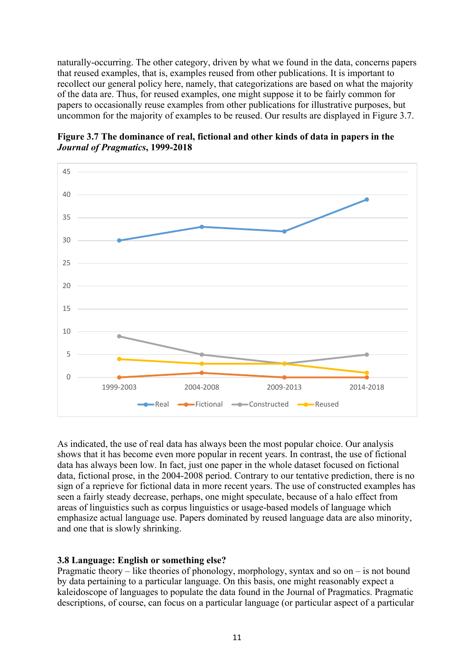naturally-occurring. The other category, driven by what we found in the data, concerns papers that reused examples, that is, examples reused from other publications. It is important to recollect our general policy here, namely, that categorizations are based on what the majority of the data are. Thus, for reused examples, one might suppose it to be fairly common for papers to occasionally reuse examples from other publications for illustrative purposes, but uncommon for the majority of examples to be reused. Our results are displayed in Figure 3.7.



**Figure 3.7 The dominance of real, fictional and other kinds of data in papers in the**  *Journal of Pragmatics***, 1999-2018**

As indicated, the use of real data has always been the most popular choice. Our analysis shows that it has become even more popular in recent years. In contrast, the use of fictional data has always been low. In fact, just one paper in the whole dataset focused on fictional data, fictional prose, in the 2004-2008 period. Contrary to our tentative prediction, there is no sign of a reprieve for fictional data in more recent years. The use of constructed examples has seen a fairly steady decrease, perhaps, one might speculate, because of a halo effect from areas of linguistics such as corpus linguistics or usage-based models of language which emphasize actual language use. Papers dominated by reused language data are also minority, and one that is slowly shrinking.

## **3.8 Language: English or something else?**

Pragmatic theory – like theories of phonology, morphology, syntax and so on – is not bound by data pertaining to a particular language. On this basis, one might reasonably expect a kaleidoscope of languages to populate the data found in the Journal of Pragmatics. Pragmatic descriptions, of course, can focus on a particular language (or particular aspect of a particular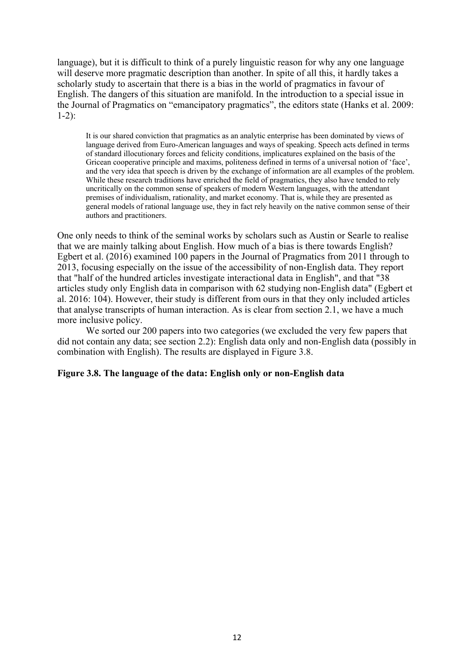language), but it is difficult to think of a purely linguistic reason for why any one language will deserve more pragmatic description than another. In spite of all this, it hardly takes a scholarly study to ascertain that there is a bias in the world of pragmatics in favour of English. The dangers of this situation are manifold. In the introduction to a special issue in the Journal of Pragmatics on "emancipatory pragmatics", the editors state (Hanks et al. 2009: 1-2):

It is our shared conviction that pragmatics as an analytic enterprise has been dominated by views of language derived from Euro-American languages and ways of speaking. Speech acts defined in terms of standard illocutionary forces and felicity conditions, implicatures explained on the basis of the Gricean cooperative principle and maxims, politeness defined in terms of a universal notion of 'face', and the very idea that speech is driven by the exchange of information are all examples of the problem. While these research traditions have enriched the field of pragmatics, they also have tended to rely uncritically on the common sense of speakers of modern Western languages, with the attendant premises of individualism, rationality, and market economy. That is, while they are presented as general models of rational language use, they in fact rely heavily on the native common sense of their authors and practitioners.

One only needs to think of the seminal works by scholars such as Austin or Searle to realise that we are mainly talking about English. How much of a bias is there towards English? Egbert et al. (2016) examined 100 papers in the Journal of Pragmatics from 2011 through to 2013, focusing especially on the issue of the accessibility of non-English data. They report that "half of the hundred articles investigate interactional data in English", and that "38 articles study only English data in comparison with 62 studying non-English data" (Egbert et al. 2016: 104). However, their study is different from ours in that they only included articles that analyse transcripts of human interaction. As is clear from section 2.1, we have a much more inclusive policy.

We sorted our 200 papers into two categories (we excluded the very few papers that did not contain any data; see section 2.2): English data only and non-English data (possibly in combination with English). The results are displayed in Figure 3.8.

### **Figure 3.8. The language of the data: English only or non-English data**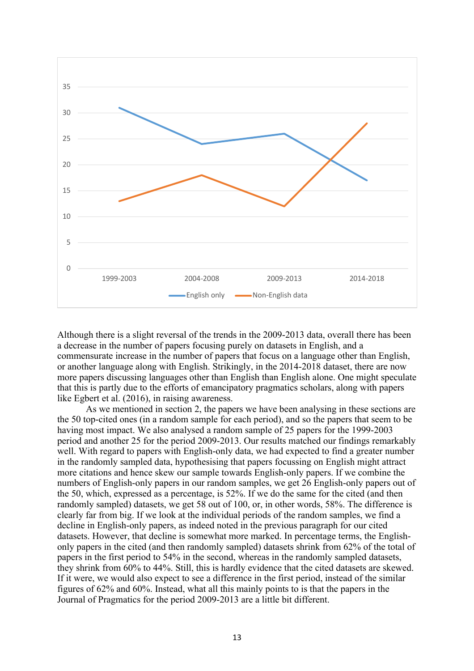

Although there is a slight reversal of the trends in the 2009-2013 data, overall there has been a decrease in the number of papers focusing purely on datasets in English, and a commensurate increase in the number of papers that focus on a language other than English, or another language along with English. Strikingly, in the 2014-2018 dataset, there are now more papers discussing languages other than English than English alone. One might speculate that this is partly due to the efforts of emancipatory pragmatics scholars, along with papers like Egbert et al. (2016), in raising awareness.

As we mentioned in section 2, the papers we have been analysing in these sections are the 50 top-cited ones (in a random sample for each period), and so the papers that seem to be having most impact. We also analysed a random sample of 25 papers for the 1999-2003 period and another 25 for the period 2009-2013. Our results matched our findings remarkably well. With regard to papers with English-only data, we had expected to find a greater number in the randomly sampled data, hypothesising that papers focussing on English might attract more citations and hence skew our sample towards English-only papers. If we combine the numbers of English-only papers in our random samples, we get 26 English-only papers out of the 50, which, expressed as a percentage, is 52%. If we do the same for the cited (and then randomly sampled) datasets, we get 58 out of 100, or, in other words, 58%. The difference is clearly far from big. If we look at the individual periods of the random samples, we find a decline in English-only papers, as indeed noted in the previous paragraph for our cited datasets. However, that decline is somewhat more marked. In percentage terms, the Englishonly papers in the cited (and then randomly sampled) datasets shrink from 62% of the total of papers in the first period to 54% in the second, whereas in the randomly sampled datasets, they shrink from 60% to 44%. Still, this is hardly evidence that the cited datasets are skewed. If it were, we would also expect to see a difference in the first period, instead of the similar figures of 62% and 60%. Instead, what all this mainly points to is that the papers in the Journal of Pragmatics for the period 2009-2013 are a little bit different.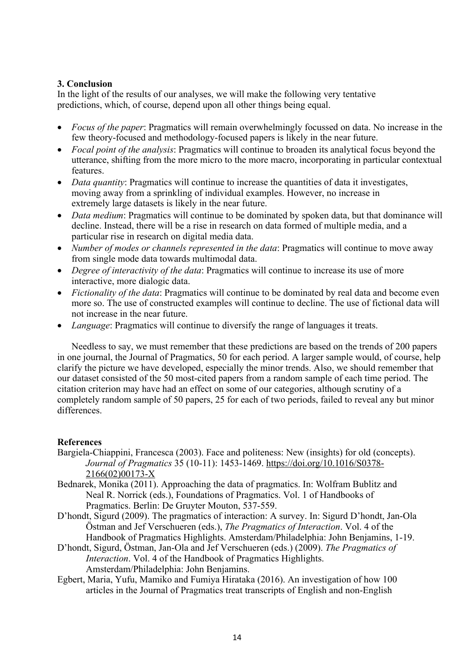# **3. Conclusion**

In the light of the results of our analyses, we will make the following very tentative predictions, which, of course, depend upon all other things being equal.

- *Focus of the paper*: Pragmatics will remain overwhelmingly focussed on data. No increase in the few theory-focused and methodology-focused papers is likely in the near future.
- *Focal point of the analysis*: Pragmatics will continue to broaden its analytical focus beyond the utterance, shifting from the more micro to the more macro, incorporating in particular contextual features.
- *Data quantity:* Pragmatics will continue to increase the quantities of data it investigates, moving away from a sprinkling of individual examples. However, no increase in extremely large datasets is likely in the near future.
- *Data medium:* Pragmatics will continue to be dominated by spoken data, but that dominance will decline. Instead, there will be a rise in research on data formed of multiple media, and a particular rise in research on digital media data.
- *Number of modes or channels represented in the data: Pragmatics will continue to move away* from single mode data towards multimodal data.
- *Degree of interactivity of the data*: Pragmatics will continue to increase its use of more interactive, more dialogic data.
- *Fictionality of the data*: Pragmatics will continue to be dominated by real data and become even more so. The use of constructed examples will continue to decline. The use of fictional data will not increase in the near future.
- *Language*: Pragmatics will continue to diversify the range of languages it treats.

Needless to say, we must remember that these predictions are based on the trends of 200 papers in one journal, the Journal of Pragmatics, 50 for each period. A larger sample would, of course, help clarify the picture we have developed, especially the minor trends. Also, we should remember that our dataset consisted of the 50 most-cited papers from a random sample of each time period. The citation criterion may have had an effect on some of our categories, although scrutiny of a completely random sample of 50 papers, 25 for each of two periods, failed to reveal any but minor differences.

## **References**

- Bargiela-Chiappini, Francesca (2003). Face and politeness: New (insights) for old (concepts). *Journal of Pragmatics* 35 (10-11): 1453-1469. https://doi.org/10.1016/S0378- 2166(02)00173-X
- Bednarek, Monika (2011). Approaching the data of pragmatics. In: Wolfram Bublitz and Neal R. Norrick (eds.), Foundations of Pragmatics. Vol. 1 of Handbooks of Pragmatics. Berlin: De Gruyter Mouton, 537-559.
- D'hondt, Sigurd (2009). The pragmatics of interaction: A survey. In: Sigurd D'hondt, Jan-Ola Östman and Jef Verschueren (eds.), *The Pragmatics of Interaction*. Vol. 4 of the Handbook of Pragmatics Highlights. Amsterdam/Philadelphia: John Benjamins, 1-19.
- D'hondt, Sigurd, Östman, Jan-Ola and Jef Verschueren (eds.) (2009). *The Pragmatics of Interaction*. Vol. 4 of the Handbook of Pragmatics Highlights. Amsterdam/Philadelphia: John Benjamins.
- Egbert, Maria, Yufu, Mamiko and Fumiya Hirataka (2016). An investigation of how 100 articles in the Journal of Pragmatics treat transcripts of English and non-English